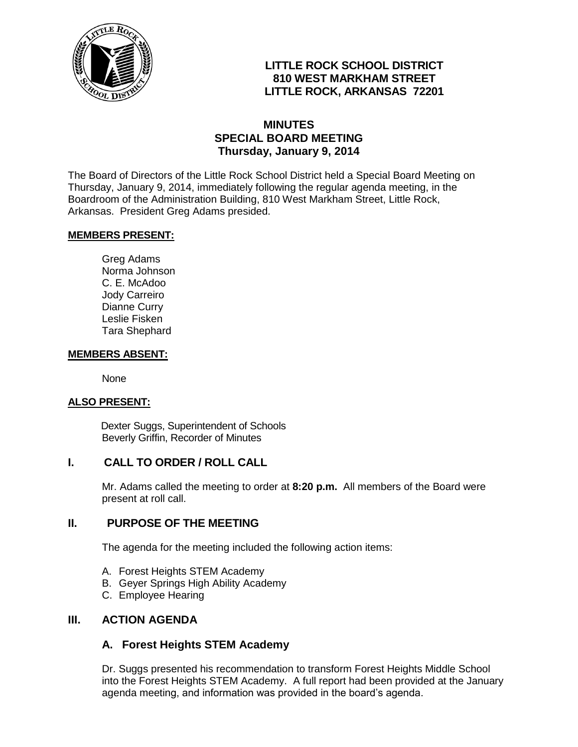

# **LITTLE ROCK SCHOOL DISTRICT 810 WEST MARKHAM STREET LITTLE ROCK, ARKANSAS 72201**

## **MINUTES SPECIAL BOARD MEETING Thursday, January 9, 2014**

The Board of Directors of the Little Rock School District held a Special Board Meeting on Thursday, January 9, 2014, immediately following the regular agenda meeting, in the Boardroom of the Administration Building, 810 West Markham Street, Little Rock, Arkansas. President Greg Adams presided.

#### **MEMBERS PRESENT:**

Greg Adams Norma Johnson C. E. McAdoo Jody Carreiro Dianne Curry Leslie Fisken Tara Shephard

#### **MEMBERS ABSENT:**

None

#### **ALSO PRESENT:**

 Dexter Suggs, Superintendent of Schools Beverly Griffin, Recorder of Minutes

### **I. CALL TO ORDER / ROLL CALL**

Mr. Adams called the meeting to order at **8:20 p.m.** All members of the Board were present at roll call.

### **II. PURPOSE OF THE MEETING**

The agenda for the meeting included the following action items:

- A. Forest Heights STEM Academy
- B. Geyer Springs High Ability Academy
- C. Employee Hearing

#### **III. ACTION AGENDA**

### **A. Forest Heights STEM Academy**

Dr. Suggs presented his recommendation to transform Forest Heights Middle School into the Forest Heights STEM Academy. A full report had been provided at the January agenda meeting, and information was provided in the board's agenda.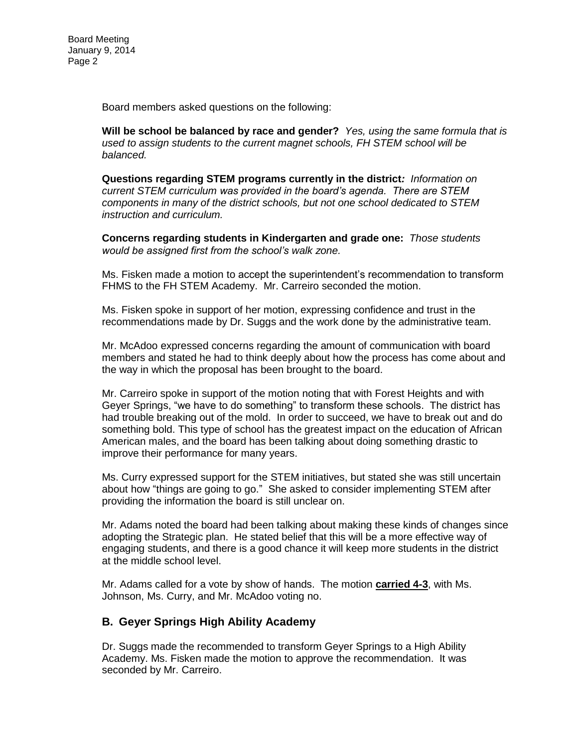Board members asked questions on the following:

**Will be school be balanced by race and gender?** *Yes, using the same formula that is used to assign students to the current magnet schools, FH STEM school will be balanced.*

**Questions regarding STEM programs currently in the district***: Information on current STEM curriculum was provided in the board's agenda. There are STEM components in many of the district schools, but not one school dedicated to STEM instruction and curriculum.* 

**Concerns regarding students in Kindergarten and grade one:** *Those students would be assigned first from the school's walk zone.*

Ms. Fisken made a motion to accept the superintendent's recommendation to transform FHMS to the FH STEM Academy. Mr. Carreiro seconded the motion.

Ms. Fisken spoke in support of her motion, expressing confidence and trust in the recommendations made by Dr. Suggs and the work done by the administrative team.

Mr. McAdoo expressed concerns regarding the amount of communication with board members and stated he had to think deeply about how the process has come about and the way in which the proposal has been brought to the board.

Mr. Carreiro spoke in support of the motion noting that with Forest Heights and with Geyer Springs, "we have to do something" to transform these schools. The district has had trouble breaking out of the mold. In order to succeed, we have to break out and do something bold. This type of school has the greatest impact on the education of African American males, and the board has been talking about doing something drastic to improve their performance for many years.

Ms. Curry expressed support for the STEM initiatives, but stated she was still uncertain about how "things are going to go." She asked to consider implementing STEM after providing the information the board is still unclear on.

Mr. Adams noted the board had been talking about making these kinds of changes since adopting the Strategic plan. He stated belief that this will be a more effective way of engaging students, and there is a good chance it will keep more students in the district at the middle school level.

Mr. Adams called for a vote by show of hands. The motion **carried 4-3**, with Ms. Johnson, Ms. Curry, and Mr. McAdoo voting no.

### **B. Geyer Springs High Ability Academy**

Dr. Suggs made the recommended to transform Geyer Springs to a High Ability Academy. Ms. Fisken made the motion to approve the recommendation. It was seconded by Mr. Carreiro.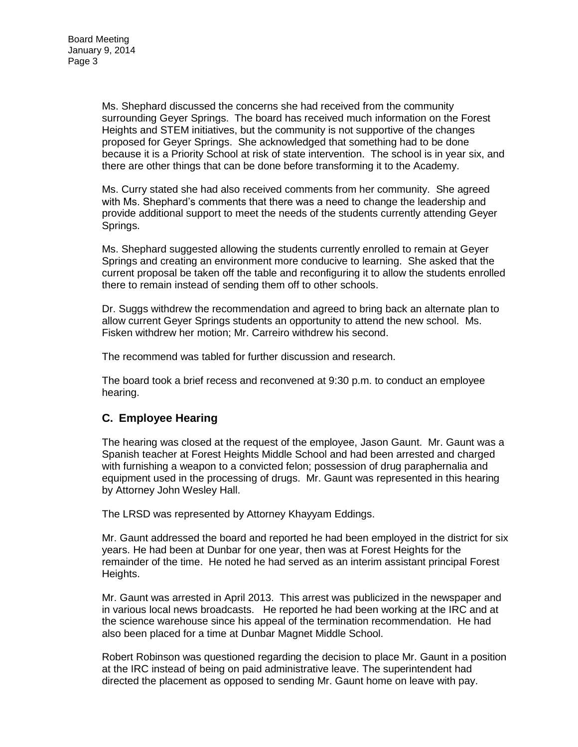Ms. Shephard discussed the concerns she had received from the community surrounding Geyer Springs. The board has received much information on the Forest Heights and STEM initiatives, but the community is not supportive of the changes proposed for Geyer Springs. She acknowledged that something had to be done because it is a Priority School at risk of state intervention. The school is in year six, and there are other things that can be done before transforming it to the Academy.

Ms. Curry stated she had also received comments from her community. She agreed with Ms. Shephard's comments that there was a need to change the leadership and provide additional support to meet the needs of the students currently attending Geyer Springs.

Ms. Shephard suggested allowing the students currently enrolled to remain at Geyer Springs and creating an environment more conducive to learning. She asked that the current proposal be taken off the table and reconfiguring it to allow the students enrolled there to remain instead of sending them off to other schools.

Dr. Suggs withdrew the recommendation and agreed to bring back an alternate plan to allow current Geyer Springs students an opportunity to attend the new school. Ms. Fisken withdrew her motion; Mr. Carreiro withdrew his second.

The recommend was tabled for further discussion and research.

The board took a brief recess and reconvened at 9:30 p.m. to conduct an employee hearing.

### **C. Employee Hearing**

The hearing was closed at the request of the employee, Jason Gaunt. Mr. Gaunt was a Spanish teacher at Forest Heights Middle School and had been arrested and charged with furnishing a weapon to a convicted felon; possession of drug paraphernalia and equipment used in the processing of drugs. Mr. Gaunt was represented in this hearing by Attorney John Wesley Hall.

The LRSD was represented by Attorney Khayyam Eddings.

Mr. Gaunt addressed the board and reported he had been employed in the district for six years. He had been at Dunbar for one year, then was at Forest Heights for the remainder of the time. He noted he had served as an interim assistant principal Forest Heights.

Mr. Gaunt was arrested in April 2013. This arrest was publicized in the newspaper and in various local news broadcasts. He reported he had been working at the IRC and at the science warehouse since his appeal of the termination recommendation. He had also been placed for a time at Dunbar Magnet Middle School.

Robert Robinson was questioned regarding the decision to place Mr. Gaunt in a position at the IRC instead of being on paid administrative leave. The superintendent had directed the placement as opposed to sending Mr. Gaunt home on leave with pay.